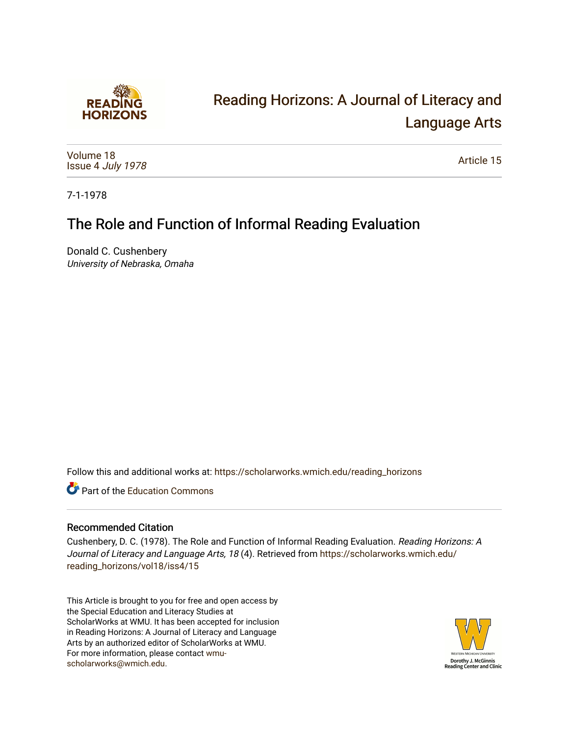

# [Reading Horizons: A Journal of Literacy and](https://scholarworks.wmich.edu/reading_horizons)  [Language Arts](https://scholarworks.wmich.edu/reading_horizons)

[Volume 18](https://scholarworks.wmich.edu/reading_horizons/vol18) Issue 4 [July 1978](https://scholarworks.wmich.edu/reading_horizons/vol18/iss4)

[Article 15](https://scholarworks.wmich.edu/reading_horizons/vol18/iss4/15) 

7-1-1978

# The Role and Function of Informal Reading Evaluation

Donald C. Cushenbery University of Nebraska, Omaha

Follow this and additional works at: [https://scholarworks.wmich.edu/reading\\_horizons](https://scholarworks.wmich.edu/reading_horizons?utm_source=scholarworks.wmich.edu%2Freading_horizons%2Fvol18%2Fiss4%2F15&utm_medium=PDF&utm_campaign=PDFCoverPages)

**C** Part of the [Education Commons](http://network.bepress.com/hgg/discipline/784?utm_source=scholarworks.wmich.edu%2Freading_horizons%2Fvol18%2Fiss4%2F15&utm_medium=PDF&utm_campaign=PDFCoverPages)

### Recommended Citation

Cushenbery, D. C. (1978). The Role and Function of Informal Reading Evaluation. Reading Horizons: A Journal of Literacy and Language Arts, 18 (4). Retrieved from [https://scholarworks.wmich.edu/](https://scholarworks.wmich.edu/reading_horizons/vol18/iss4/15?utm_source=scholarworks.wmich.edu%2Freading_horizons%2Fvol18%2Fiss4%2F15&utm_medium=PDF&utm_campaign=PDFCoverPages) [reading\\_horizons/vol18/iss4/15](https://scholarworks.wmich.edu/reading_horizons/vol18/iss4/15?utm_source=scholarworks.wmich.edu%2Freading_horizons%2Fvol18%2Fiss4%2F15&utm_medium=PDF&utm_campaign=PDFCoverPages)

This Article is brought to you for free and open access by the Special Education and Literacy Studies at ScholarWorks at WMU. It has been accepted for inclusion in Reading Horizons: A Journal of Literacy and Language Arts by an authorized editor of ScholarWorks at WMU. For more information, please contact [wmu](mailto:wmu-scholarworks@wmich.edu)[scholarworks@wmich.edu.](mailto:wmu-scholarworks@wmich.edu)

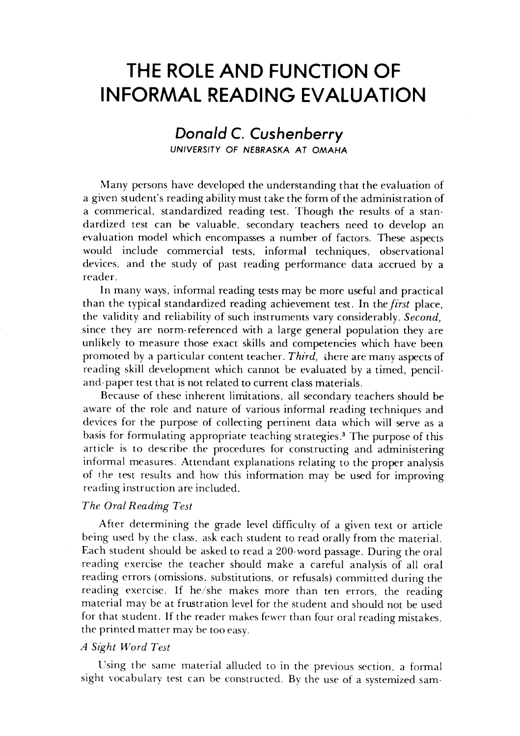## *THE ROLE AND FUNCTION OF* **THE ROLE AND FUNCTION OF**  *INFORMAL READING EVALUATION* **INFORMAL READING EVALUATION**

### *Donald C. Cushenberry Donald* **C.** *Cushenberry UNIVERSITY OF NEBRASKA AT OMAHA* UNIVERSITY OF NEBRASKA A T OMAHA

Many persons have developed the understanding that the evaluation of Many persons have developed the understanding that the evaluation of a given student's reading ability must take the form of the administration of a given student's reading ability must take the form of the administration of a commerical, standardized reading test. Though the results of a stan a commerical, standardized reading test. Though the results of a standardized test can be valuable, secondary teachers need to develop an dardized test can be valuable, secondary teachers need to develop an evaluation model which encompasses a number of factors. These aspects evaluation model which encompasses a number factors. These aspects would include commercial tests, informal techniques, observational would include commercial tests, informal techniques, observational devices, and the study of past reading performance data accrued by a devices, and the study of past reading performance data accrued by a reader. reader.

In many ways, informal reading tests may be more useful and practical In many ways, informal reading tests may be more useful and practical than the typical standardized reading achievement test. In **thefirst** place, than the typical standardized reading achievement test. In the *first* place, the validity and reliability of such instruments vary considerably. **Second,** the validity and reliability of such instruments vary considerably. *Second)*  since they are norm-referenced with a large general population they are since they are norm-referenced with a large general population they are unlikely to measure those exact skills and competencies which have been unlikely to measure those exact skills and competencies which have been promoted by a particular content teacher. **Third,** there are many aspects of promoted by a particular content teacher. *Third)* lhere are many aspects of reading skill development which cannot be evaluated by a timed, pencil-reading skill development which cannot be evaluated by a timed, penciland-paper test that is not related to current class materials. and-paper test that is not related to current class materials.

Because of these inherent limitations, all secondary teachers should be aware of the role and nature of various informal reading techniques and aware of the role and nature of various informal reading techniques and devices for the purpose of collecting pertinent data which will serve as a devices for the purpose of collecting pertinent data which will serve as a basis for formulating appropriate teaching strategies.3 The purposeof this basis for formulating appropriate teaching strategies.3 The purpose of this article is to describe the procedures for constructing and administering article is to describe the procedures for constructing and administering informal measures. Attendant explanations relating to the proper analysis informal measures. Attendant explanations relating to the proper analysis of the test results and how this information may be used for improving of rhe test results and how this information may be used for improving reading instruction are included. reading instruction are included.

#### **The Oral Reading Test** *The Oral Reading Test*

After determining the grade level difficulty of a given text or article After determining the grade level difficulty of a given text or article being used by the class, ask each student to read orally from the material. being used by the class, ask each student to read orally from the material. Each student should be asked to read a 200-word passage. During the oral Each student should be asked to read a 200-word passage. During the oral reading exercise the teacher should make a careful analysis of all oral reading exercise the teacher should make a careful analysis of all oral reading errors (omissions, substitutions, or refusals) committed during the reading errors (omissions, substitutions, or refusals) committed during the reading exercise. If he/she makes more than ten errors, the reading reading exercise. If he/she makes more than ten errors, the reading material may be at frustration level for the student and should not be used material may be at frustration level for the student and should not be used for that student. If the reader makes fewer than four oral reading mistakes, the printed matter may be too easy. the printed matter may be too easy.

#### **A Sight Word Test** *A Sight Word Test*

Using the same material alluded to in the previous section, a formal Using the same material alluded to in the previous section, a formal sight vocabulary test can be constructed. By the use of a systemized sam-sight vocabulary test can be constructed. By the use of a systemized sam-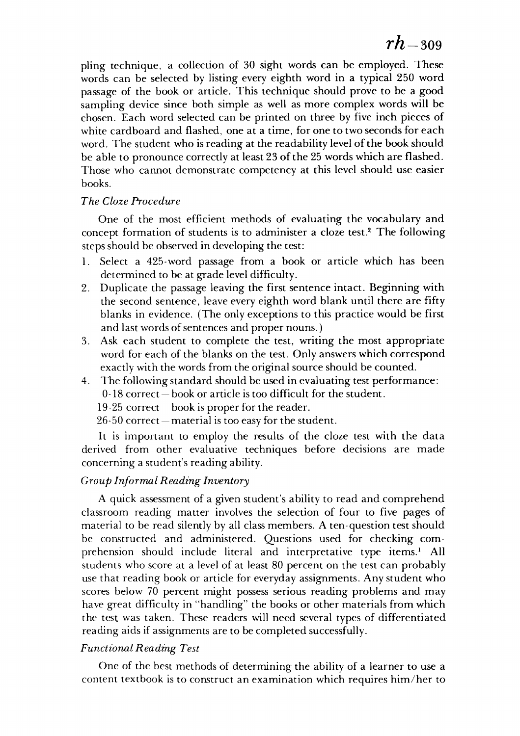pling technique, a collection of 30 sight words can be employed. These words can be selected by listing every eighth word in a typical 250 word words can be selected by listing every eighth word in a typical 250 word passage of the book or article. This technique should prove to be a good passage of the book or article. This technique should prove to be a good sampling device since both simple as well as more complex words will be sampling device since both simple as well as more complex words will be chosen. Each word selected can be printed on three by five inch pieces of chosen. Each word selected can be printed on three by five inch pieces of white cardboard and flashed, one at a time, for one to two seconds for each white cardboard and flashed, one at a time, for one to two seconds for each word. The student who is reading at the readability level of the book should be able to pronounce correctly at least 23 of the 25 words which are flashed. Those who cannot demonstrate competency at this level should use easier Those who cannot demonstrate competency at this level should use easier books. books.

#### **The Cloze Procedure** *The Cloze Procedure*

One of the most efficient methods of evaluating the vocabulary and One of the most efficient methods of evaluating the vocabulary and concept formation of students is to administer a cloze test.2 The following concept formation students is to administer a cloze test.2 The following steps should be observed in developing the test:

- 1. Select a 425-word passage from a book or article which has been determined to be at grade level difficulty.
- 2. Duplicate the passage leaving the first sentence intact. Beginning with 2. Duplicate the passage leaving the first sentence intact. Beginning with the second sentence, leave every eighth word blank until there are fifty the second sentence, leave every eighth word blank until there are fifty blanks in evidence. (The only exceptions to this practice would be first and last words of sentences and proper nouns.) and last words of sentences and proper nouns.)
- 3. Ask each student to complete the test, writing the most appropriate 3. Ask each student to complete the test, writing the most appropriate word for each of the blanks on the test. Only answers which correspond exactly with the words from the original source should be counted.
- 4. The following standard should be used in evaluating test performance: 4. The following standard in evaluating test performance:
	- 0-18 correct book or article is too difficult for the student.

19-25 correct—book is proper for the reader.

 $26-50$  correct — material is too easy for the student.

It is important to employ the results of the cloze test with the data derived from other evaluative techniques before decisions are made derived from other evaluative techniques before decisions are made concerning a student's reading ability. concerning a student's reading ability.

#### **Group Informal Reading Inventory** *Group Informal Reading Inventory*

**A** quick assessment of a given student's ability to read and comprehend A quick assessment a given student's ability to read and comprehend classroom reading matter involves the selection of four to five pages of classroom reading matter involves the selection of four to five pages of material to be read silently by all class members. A ten-question test should be constructed and administered. Questions used for checking com be constructed and administered. Questions used for checking comprehension should include literal and interpretative type items.<sup>1</sup> All students who score at a level of at least 80 percent on the test can probably use that reading book or article for everyday assignments. Any student who scores below 70 percent might possess serious reading problems and may scores below 70 percent might possess serious reading problems and may have great difficulty in "handling" the books or other materials from which have great difficulty in "handling" the books or other materials from which the test was taken. These readers will need several types of differentiated the test was taken. These readers will need several types of differentiated reading aids if assignments are to be completed successfully.

#### **Functional Reading Test** *Functional Reading Test*

One of the best methods of determining the ability of a learner to use a One of the best methods of determining the ability of a learner to use a content textbook is to construct an examination which requires him/her to content textbook is to construct an examination which requires him/her to